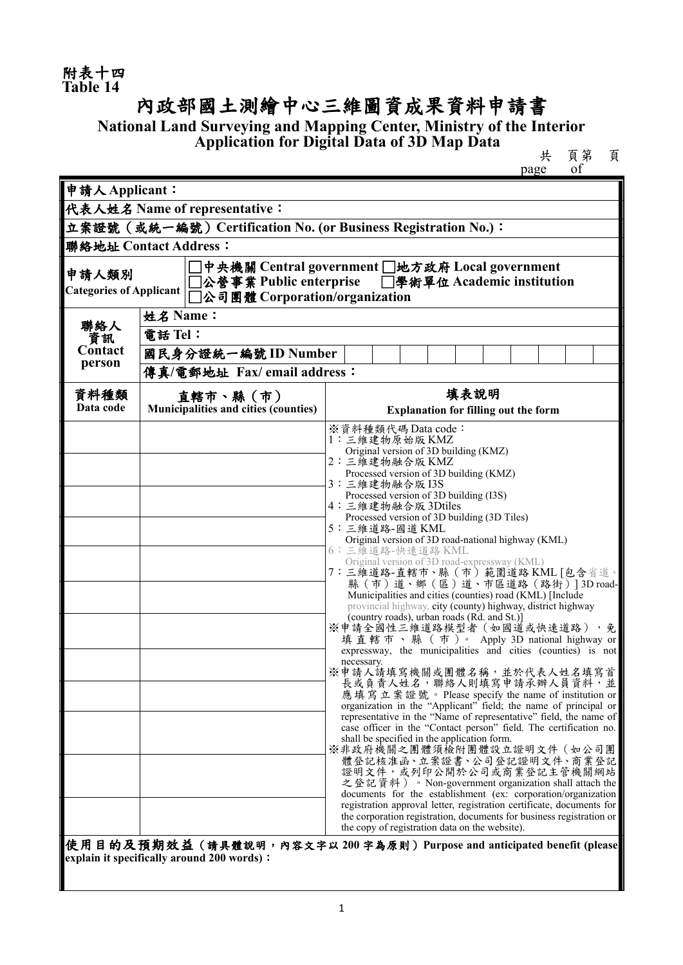## 內政部國土測繪中心三維圖資成果資料申請書

**National Land Surveying and Mapping Center, Ministry of the Interior Application for Digital Data of 3D Map Data**

共 頁第 頁

|                                                                                                                                                                                    |                                                                | of<br>page                                                                                                                                                                                                                                                                                                                                                                                                                                                                                                                                                                                                                                                                                                                                                                                                                                                                                                                                                                                                                                                                                                                                                                                                                                                                                                                                                                                                                                                                                                                                                                                                                                                                                          |  |  |  |  |  |  |  |
|------------------------------------------------------------------------------------------------------------------------------------------------------------------------------------|----------------------------------------------------------------|-----------------------------------------------------------------------------------------------------------------------------------------------------------------------------------------------------------------------------------------------------------------------------------------------------------------------------------------------------------------------------------------------------------------------------------------------------------------------------------------------------------------------------------------------------------------------------------------------------------------------------------------------------------------------------------------------------------------------------------------------------------------------------------------------------------------------------------------------------------------------------------------------------------------------------------------------------------------------------------------------------------------------------------------------------------------------------------------------------------------------------------------------------------------------------------------------------------------------------------------------------------------------------------------------------------------------------------------------------------------------------------------------------------------------------------------------------------------------------------------------------------------------------------------------------------------------------------------------------------------------------------------------------------------------------------------------------|--|--|--|--|--|--|--|
| 申請人Applicant:                                                                                                                                                                      |                                                                |                                                                                                                                                                                                                                                                                                                                                                                                                                                                                                                                                                                                                                                                                                                                                                                                                                                                                                                                                                                                                                                                                                                                                                                                                                                                                                                                                                                                                                                                                                                                                                                                                                                                                                     |  |  |  |  |  |  |  |
| 代表人姓名 Name of representative:                                                                                                                                                      |                                                                |                                                                                                                                                                                                                                                                                                                                                                                                                                                                                                                                                                                                                                                                                                                                                                                                                                                                                                                                                                                                                                                                                                                                                                                                                                                                                                                                                                                                                                                                                                                                                                                                                                                                                                     |  |  |  |  |  |  |  |
|                                                                                                                                                                                    | 立案證號 (或統一編號) Certification No. (or Business Registration No.): |                                                                                                                                                                                                                                                                                                                                                                                                                                                                                                                                                                                                                                                                                                                                                                                                                                                                                                                                                                                                                                                                                                                                                                                                                                                                                                                                                                                                                                                                                                                                                                                                                                                                                                     |  |  |  |  |  |  |  |
|                                                                                                                                                                                    | 聯絡地址 Contact Address:                                          |                                                                                                                                                                                                                                                                                                                                                                                                                                                                                                                                                                                                                                                                                                                                                                                                                                                                                                                                                                                                                                                                                                                                                                                                                                                                                                                                                                                                                                                                                                                                                                                                                                                                                                     |  |  |  |  |  |  |  |
| □中央機關 Central government □地方政府 Local government<br>申請人類別<br>□公營事業 Public enterprise □學術單位 Academic institution<br><b>Categories of Applicant</b><br>□公司團體 Corporation/organization |                                                                |                                                                                                                                                                                                                                                                                                                                                                                                                                                                                                                                                                                                                                                                                                                                                                                                                                                                                                                                                                                                                                                                                                                                                                                                                                                                                                                                                                                                                                                                                                                                                                                                                                                                                                     |  |  |  |  |  |  |  |
|                                                                                                                                                                                    | 姓名 Name:                                                       |                                                                                                                                                                                                                                                                                                                                                                                                                                                                                                                                                                                                                                                                                                                                                                                                                                                                                                                                                                                                                                                                                                                                                                                                                                                                                                                                                                                                                                                                                                                                                                                                                                                                                                     |  |  |  |  |  |  |  |
| 聯絡人<br>資訊                                                                                                                                                                          | 電話 Tel:                                                        |                                                                                                                                                                                                                                                                                                                                                                                                                                                                                                                                                                                                                                                                                                                                                                                                                                                                                                                                                                                                                                                                                                                                                                                                                                                                                                                                                                                                                                                                                                                                                                                                                                                                                                     |  |  |  |  |  |  |  |
| Contact                                                                                                                                                                            | 國民身分證統一編號 ID Number                                            |                                                                                                                                                                                                                                                                                                                                                                                                                                                                                                                                                                                                                                                                                                                                                                                                                                                                                                                                                                                                                                                                                                                                                                                                                                                                                                                                                                                                                                                                                                                                                                                                                                                                                                     |  |  |  |  |  |  |  |
| person                                                                                                                                                                             | 傳真/電郵地址 Fax/ email address:                                    |                                                                                                                                                                                                                                                                                                                                                                                                                                                                                                                                                                                                                                                                                                                                                                                                                                                                                                                                                                                                                                                                                                                                                                                                                                                                                                                                                                                                                                                                                                                                                                                                                                                                                                     |  |  |  |  |  |  |  |
| 資料種類                                                                                                                                                                               | 直轄市、縣(市)                                                       | 填表說明                                                                                                                                                                                                                                                                                                                                                                                                                                                                                                                                                                                                                                                                                                                                                                                                                                                                                                                                                                                                                                                                                                                                                                                                                                                                                                                                                                                                                                                                                                                                                                                                                                                                                                |  |  |  |  |  |  |  |
| Data code                                                                                                                                                                          | Municipalities and cities (counties)                           | <b>Explanation for filling out the form</b>                                                                                                                                                                                                                                                                                                                                                                                                                                                                                                                                                                                                                                                                                                                                                                                                                                                                                                                                                                                                                                                                                                                                                                                                                                                                                                                                                                                                                                                                                                                                                                                                                                                         |  |  |  |  |  |  |  |
|                                                                                                                                                                                    | explain it specifically around 200 words):                     | ※資料種類代碼 Data code:<br>1:三維建物原始版KMZ<br>Original version of 3D building (KMZ)<br>2: 三維建物融合版 KMZ<br>Processed version of 3D building (KMZ)<br>3:三維建物融合版I3S<br>Processed version of 3D building (I3S)<br>4: 三維建物融合版 3Dtiles<br>Processed version of 3D building (3D Tiles)<br>5:三維道路-國道KML<br>Original version of 3D road-national highway (KML)<br>6: 三維道路-快速道路 KML<br>Original version of 3D road-expressway (KML)<br>7: 三維道路-直轄市、縣 (市) 範圍道路 KML [包含省道、<br>縣 (市) 道、鄉 (區) 道、市區道路 (路街) ] 3D road-<br>Municipalities and cities (counties) road (KML) [Include<br>provincial highway, city (county) highway, district highway<br>(country roads), urban roads (Rd. and St.)]<br>※申請全國性三維道路模型者 (如國道或快速道路),免<br>填直轄市、縣 (市)。 Apply 3D national highway or<br>expressway, the municipalities and cities (counties) is not<br>necessary.<br>※申請人請填寫機關或團體名稱,並於代表人姓名填寫首<br>長或負責人姓名,聯絡人則填寫申請承辦人員資料,並<br>應填寫立案證號。Please specify the name of institution or<br>organization in the "Applicant" field; the name of principal or<br>representative in the "Name of representative" field, the name of<br>case officer in the "Contact person" field. The certification no.<br>shall be specified in the application form.<br>※非政府機關之團體須檢附團體設立證明文件 (如公司團<br>體登記核准函、立案證書、公司登記證明文件、商業登記<br>證明文件,或列印公開於公司或商業登記主管機關網站<br>之登記資料)。Non-government organization shall attach the<br>documents for the establishment (ex: corporation/organization<br>registration approval letter, registration certificate, documents for<br>the corporation registration, documents for business registration or<br>the copy of registration data on the website).<br> 使用目的及預期效益(請具體說明,內容文字以200字為原則)Purpose and anticipated benefit (please |  |  |  |  |  |  |  |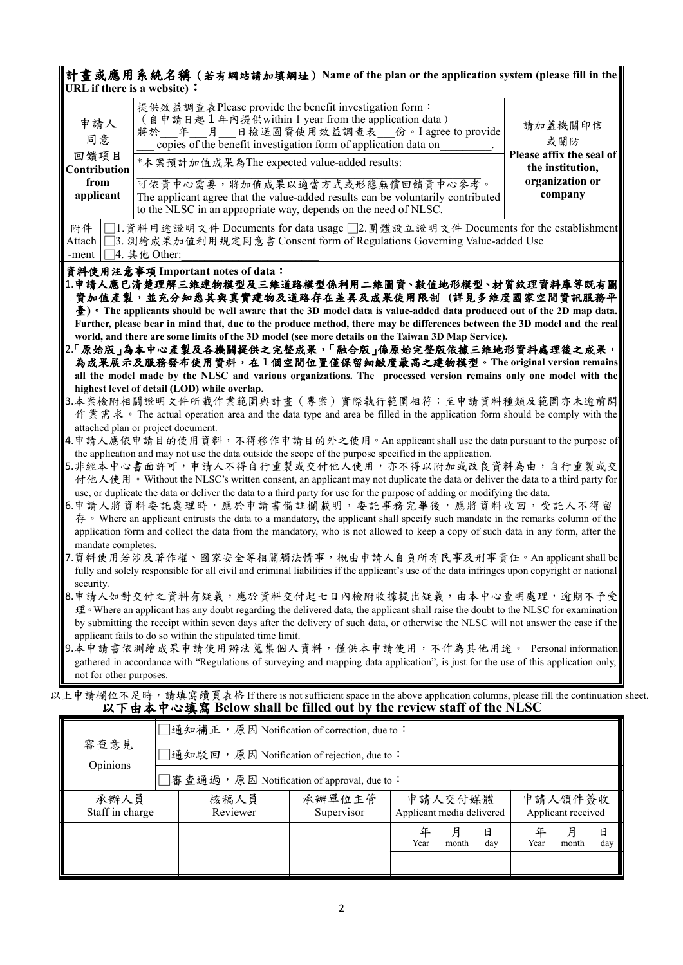|                                                                                                                                                                                                                                                                                                                                                                                                                                                                                                                                                                                                                                                                                                                                                                                                                                                                                                                                                                                                                                                                                                                                                                                                                                                                                                                                                                                                                                                                                                                                                                                                                                                                                                                                                                                                                                                                                                                                                                                                                                                                                                                                                                                                                                                                                                                                                                                                                                                                                                          | 計畫或應用系統名稱 (若有網站請加填網址) Name of the plan or the application system (please fill in the<br>URL if there is a website) :                                                                                                              |                            |  |  |  |  |
|----------------------------------------------------------------------------------------------------------------------------------------------------------------------------------------------------------------------------------------------------------------------------------------------------------------------------------------------------------------------------------------------------------------------------------------------------------------------------------------------------------------------------------------------------------------------------------------------------------------------------------------------------------------------------------------------------------------------------------------------------------------------------------------------------------------------------------------------------------------------------------------------------------------------------------------------------------------------------------------------------------------------------------------------------------------------------------------------------------------------------------------------------------------------------------------------------------------------------------------------------------------------------------------------------------------------------------------------------------------------------------------------------------------------------------------------------------------------------------------------------------------------------------------------------------------------------------------------------------------------------------------------------------------------------------------------------------------------------------------------------------------------------------------------------------------------------------------------------------------------------------------------------------------------------------------------------------------------------------------------------------------------------------------------------------------------------------------------------------------------------------------------------------------------------------------------------------------------------------------------------------------------------------------------------------------------------------------------------------------------------------------------------------------------------------------------------------------------------------------------------------|-----------------------------------------------------------------------------------------------------------------------------------------------------------------------------------------------------------------------------------|----------------------------|--|--|--|--|
| 申請人<br>同意                                                                                                                                                                                                                                                                                                                                                                                                                                                                                                                                                                                                                                                                                                                                                                                                                                                                                                                                                                                                                                                                                                                                                                                                                                                                                                                                                                                                                                                                                                                                                                                                                                                                                                                                                                                                                                                                                                                                                                                                                                                                                                                                                                                                                                                                                                                                                                                                                                                                                                | 提供效益調查表Please provide the benefit investigation form:<br>(自申請日起1年內提供within 1 year from the application data)<br>日檢送圖資使用效益調查表 份。I agree to provide<br>將於 年<br>月<br>copies of the benefit investigation form of application data on | 請加蓋機關印信<br>或關防             |  |  |  |  |
| 回饋項目<br>Contribution                                                                                                                                                                                                                                                                                                                                                                                                                                                                                                                                                                                                                                                                                                                                                                                                                                                                                                                                                                                                                                                                                                                                                                                                                                                                                                                                                                                                                                                                                                                                                                                                                                                                                                                                                                                                                                                                                                                                                                                                                                                                                                                                                                                                                                                                                                                                                                                                                                                                                     | Please affix the seal of<br>*本案預計加值成果為The expected value-added results:<br>the institution,                                                                                                                                       |                            |  |  |  |  |
| from<br>applicant                                                                                                                                                                                                                                                                                                                                                                                                                                                                                                                                                                                                                                                                                                                                                                                                                                                                                                                                                                                                                                                                                                                                                                                                                                                                                                                                                                                                                                                                                                                                                                                                                                                                                                                                                                                                                                                                                                                                                                                                                                                                                                                                                                                                                                                                                                                                                                                                                                                                                        | 可依貴中心需要,將加值成果以適當方式或形態無償回饋貴中心參考。<br>The applicant agree that the value-added results can be voluntarily contributed<br>to the NLSC in an appropriate way, depends on the need of NLSC.                                             | organization or<br>company |  |  |  |  |
| 附件                                                                                                                                                                                                                                                                                                                                                                                                                                                                                                                                                                                                                                                                                                                                                                                                                                                                                                                                                                                                                                                                                                                                                                                                                                                                                                                                                                                                                                                                                                                                                                                                                                                                                                                                                                                                                                                                                                                                                                                                                                                                                                                                                                                                                                                                                                                                                                                                                                                                                                       | □1.資料用途證明文件 Documents for data usage □2.團體設立證明文件 Documents for the establishment<br>Attach │ │ 3. 測繪成果加值利用規定同意書 Consent form of Regulations Governing Value-added Use                                                             |                            |  |  |  |  |
| -ment $\Box$ 4. 其他 Other:<br>資料使用注意事項 Important notes of data:<br>1.申請人應已清楚理解三維建物模型及三維道路模型係利用二維圖資、數值地形模型、材質紋理資料庫等既有圖<br><b>資加值產製,並充分知悉其與真實建物及道路存在差異及成果使用限制 (詳見多維度國家空間資訊服務平</b><br>$\frac{1}{2}$ ) • The applicants should be well aware that the 3D model data is value-added data produced out of the 2D map data.<br>Further, please bear in mind that, due to the produce method, there may be differences between the 3D model and the real<br>world, and there are some limits of the 3D model (see more details on the Taiwan 3D Map Service).<br>2.「原始版」為本中心產製及各機關提供之完整成果,「融合版」係原始完整版依據三維地形資料處理後之成果,<br>為成果展示及服務發布使用資料,在1個空間位置僅保留細緻度最高之建物模型。The original version remains<br>all the model made by the NLSC and various organizations. The processed version remains only one model with the<br>highest level of detail (LOD) while overlap.<br>3.本案檢附相關證明文件所載作業範圍與計畫(專案)實際執行範圍相符;至申請資料種類及範圍亦未逾前開<br>作業需求。The actual operation area and the data type and area be filled in the application form should be comply with the<br>attached plan or project document.<br>4.申請人應依申請目的使用資料,不得移作申請目的外之使用。An applicant shall use the data pursuant to the purpose of<br>the application and may not use the data outside the scope of the purpose specified in the application.<br>5.非經本中心書面許可,申請人不得自行重製或交付他人使用,亦不得以附加或改良資料為由,自行重製或交<br>付他人使用。Without the NLSC's written consent, an applicant may not duplicate the data or deliver the data to a third party for<br>use, or duplicate the data or deliver the data to a third party for use for the purpose of adding or modifying the data.<br>6.申請人將資料委託處理時,應於申請書備註欄載明,委託事務完畢後,應將資料收回,受託人不得留<br>存 • Where an applicant entrusts the data to a mandatory, the applicant shall specify such mandate in the remarks column of the<br>application form and collect the data from the mandatory, who is not allowed to keep a copy of such data in any form, after the<br>mandate completes.<br>7.資料使用若涉及著作權、國家安全等相關觸法情事,概由申請人自負所有民事及刑事責任。An applicant shall be<br>fully and solely responsible for all civil and criminal liabilities if the applicant's use of the data infringes upon copyright or national<br>security.<br>8.申請人如對交付之資料有疑義,應於資料交付起七日內檢附收據提出疑義,由本中心查明處理,逾期不予受<br>理 · Where an applicant has any doubt regarding the delivered data, the applicant shall raise the doubt to the NLSC for examination<br>by submitting the receipt within seven days after the delivery of such data, or otherwise the NLSC will not answer the case if the |                                                                                                                                                                                                                                   |                            |  |  |  |  |
| applicant fails to do so within the stipulated time limit.<br>9.本申請書依測繪成果申請使用辦法蒐集個人資料,僅供本申請使用,不作為其他用途。 Personal information<br>gathered in accordance with "Regulations of surveying and mapping data application", is just for the use of this application only,<br>not for other purposes.                                                                                                                                                                                                                                                                                                                                                                                                                                                                                                                                                                                                                                                                                                                                                                                                                                                                                                                                                                                                                                                                                                                                                                                                                                                                                                                                                                                                                                                                                                                                                                                                                                                                                                                                                                                                                                                                                                                                                                                                                                                                                                                                                                                                             |                                                                                                                                                                                                                                   |                            |  |  |  |  |
| 上申請欄位不足時,請填寫續頁表格 If there is not sufficient space in the above application columns, please fill the continuation<br>以下由本中心填寫 Below shall be filled out by the review staff of the NLSC                                                                                                                                                                                                                                                                                                                                                                                                                                                                                                                                                                                                                                                                                                                                                                                                                                                                                                                                                                                                                                                                                                                                                                                                                                                                                                                                                                                                                                                                                                                                                                                                                                                                                                                                                                                                                                                                                                                                                                                                                                                                                                                                                                                                                                                                                                                   |                                                                                                                                                                                                                                   |                            |  |  |  |  |
|                                                                                                                                                                                                                                                                                                                                                                                                                                                                                                                                                                                                                                                                                                                                                                                                                                                                                                                                                                                                                                                                                                                                                                                                                                                                                                                                                                                                                                                                                                                                                                                                                                                                                                                                                                                                                                                                                                                                                                                                                                                                                                                                                                                                                                                                                                                                                                                                                                                                                                          | 通知補正,原因 Notification of correction, due to:                                                                                                                                                                                       |                            |  |  |  |  |
| 審查意見<br>Opinions                                                                                                                                                                                                                                                                                                                                                                                                                                                                                                                                                                                                                                                                                                                                                                                                                                                                                                                                                                                                                                                                                                                                                                                                                                                                                                                                                                                                                                                                                                                                                                                                                                                                                                                                                                                                                                                                                                                                                                                                                                                                                                                                                                                                                                                                                                                                                                                                                                                                                         | ]通知駁回,原因 Notification of rejection, due to:                                                                                                                                                                                       |                            |  |  |  |  |
|                                                                                                                                                                                                                                                                                                                                                                                                                                                                                                                                                                                                                                                                                                                                                                                                                                                                                                                                                                                                                                                                                                                                                                                                                                                                                                                                                                                                                                                                                                                                                                                                                                                                                                                                                                                                                                                                                                                                                                                                                                                                                                                                                                                                                                                                                                                                                                                                                                                                                                          | ]審查通過,原因 Notification of approval, due to:                                                                                                                                                                                        |                            |  |  |  |  |

以上申請欄位不足時,請填寫續頁表格 If there is not sufficient space in the above application columns, please fill the continuation sheet.<br> **以下由本中心填寫 Below shall be filled out by the review staff of the NLSC** 

|                         | □通知補正, 原因 Notification of correction, due to: |                  |                      |                                      |            |          |                               |            |          |
|-------------------------|-----------------------------------------------|------------------|----------------------|--------------------------------------|------------|----------|-------------------------------|------------|----------|
| 審查意見<br>Opinions        | □通知駁回, 原因 Notification of rejection, due to:  |                  |                      |                                      |            |          |                               |            |          |
|                         | □審查通過,原因 Notification of approval, due to:    |                  |                      |                                      |            |          |                               |            |          |
| 承辦人員<br>Staff in charge |                                               | 核稿人員<br>Reviewer | 承辦單位主管<br>Supervisor | 申請人交付媒體<br>Applicant media delivered |            |          | 申請人領件簽收<br>Applicant received |            |          |
|                         |                                               |                  |                      | Year                                 | 月<br>month | 日<br>day | Year                          | 月<br>month | 日<br>day |
|                         |                                               |                  |                      |                                      |            |          |                               |            |          |